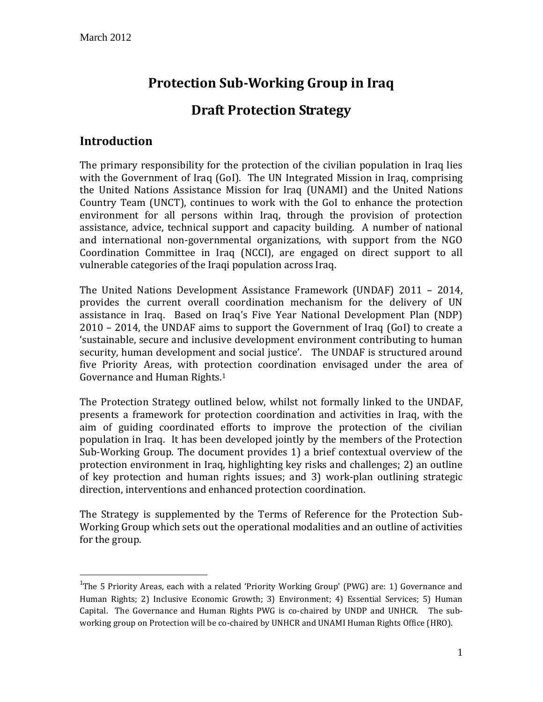# **Protection Sub-Working Group in Iraq**

# **Draft Protection Strategy**

# **Introduction**

 $\overline{a}$ 

The primary responsibility for the protection of the civilian population in Iraq lies with the Government of Iraq (GoI). The UN Integrated Mission in Iraq, comprising the United Nations Assistance Mission for Iraq (UNAMI) and the United Nations Country Team (UNCT), continues to work with the GoI to enhance the protection environment for all persons within Iraq, through the provision of protection assistance, advice, technical support and capacity building. A number of national and international non-governmental organizations, with support from the NGO Coordination Committee in Iraq (NCCI), are engaged on direct support to all vulnerable categories of the Iraqi population across Iraq.

The United Nations Development Assistance Framework (UNDAF) 2011 – 2014, provides the current overall coordination mechanism for the delivery of UN assistance in Iraq. Based on Iraq's Five Year National Development Plan (NDP) 2010 – 2014, the UNDAF aims to support the Government of Iraq (GoI) to create a 'sustainable, secure and inclusive development environment contributing to human security, human development and social justice'. The UNDAF is structured around five Priority Areas, with protection coordination envisaged under the area of Governance and Human Rights.<sup>1</sup>

The Protection Strategy outlined below, whilst not formally linked to the UNDAF, presents a framework for protection coordination and activities in Iraq, with the aim of guiding coordinated efforts to improve the protection of the civilian population in Iraq. It has been developed jointly by the members of the Protection Sub-Working Group. The document provides 1) a brief contextual overview of the protection environment in Iraq, highlighting key risks and challenges; 2) an outline of key protection and human rights issues; and 3) work-plan outlining strategic direction, interventions and enhanced protection coordination.

The Strategy is supplemented by the Terms of Reference for the Protection Sub-Working Group which sets out the operational modalities and an outline of activities for the group.

<sup>&</sup>lt;sup>1</sup>The 5 Priority Areas, each with a related 'Priority Working Group' (PWG) are: 1) Governance and Human Rights; 2) Inclusive Economic Growth; 3) Environment; 4) Essential Services; 5) Human Capital. The Governance and Human Rights PWG is co-chaired by UNDP and UNHCR. The subworking group on Protection will be co-chaired by UNHCR and UNAMI Human Rights Office (HRO).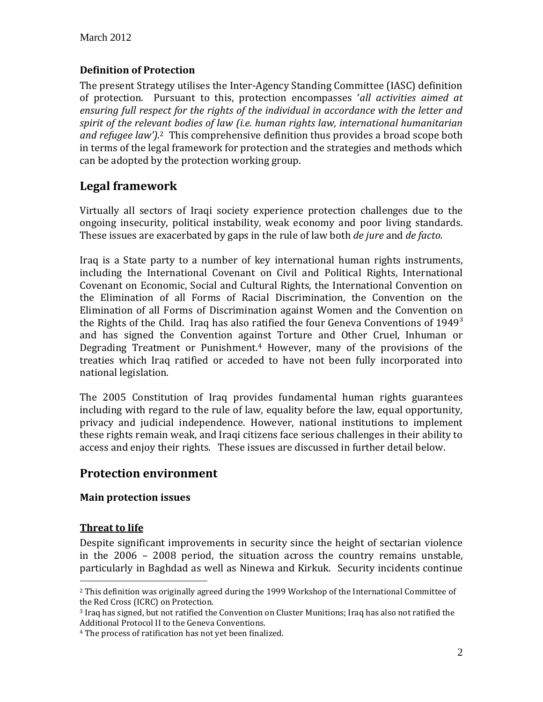## **Definition of Protection**

The present Strategy utilises the Inter-Agency Standing Committee (IASC) definition of protection. Pursuant to this, protection encompasses '*all activities aimed at ensuring full respect for the rights of the individual in accordance with the letter and spirit of the relevant bodies of law (i.e. human rights law, international humanitarian and refugee law')*. <sup>2</sup> This comprehensive definition thus provides a broad scope both in terms of the legal framework for protection and the strategies and methods which can be adopted by the protection working group.

# **Legal framework**

Virtually all sectors of Iraqi society experience protection challenges due to the ongoing insecurity, political instability, weak economy and poor living standards. These issues are exacerbated by gaps in the rule of law both *de jure* and *de facto.*

Iraq is a State party to a number of key international human rights instruments, including the International Covenant on Civil and Political Rights, International Covenant on Economic, Social and Cultural Rights, the International Convention on the Elimination of all Forms of Racial Discrimination, the Convention on the Elimination of all Forms of Discrimination against Women and the Convention on the Rights of the Child. Iraq has also ratified the four Geneva Conventions of  $1949^3$ and has signed the Convention against Torture and Other Cruel, Inhuman or Degrading Treatment or Punishment.<sup>4</sup> However, many of the provisions of the treaties which Iraq ratified or acceded to have not been fully incorporated into national legislation.

The 2005 Constitution of Iraq provides fundamental human rights guarantees including with regard to the rule of law, equality before the law, equal opportunity, privacy and judicial independence. However, national institutions to implement these rights remain weak, and Iraqi citizens face serious challenges in their ability to access and enjoy their rights. These issues are discussed in further detail below.

## **Protection environment**

## **Main protection issues**

## **Threat to life**

 $\overline{a}$ 

Despite significant improvements in security since the height of sectarian violence in the 2006 – 2008 period, the situation across the country remains unstable, particularly in Baghdad as well as Ninewa and Kirkuk. Security incidents continue

<sup>2</sup> This definition was originally agreed during the 1999 Workshop of the International Committee of the Red Cross (ICRC) on Protection.

<sup>3</sup> Iraq has signed, but not ratified the Convention on Cluster Munitions; Iraq has also not ratified the Additional Protocol II to the Geneva Conventions.

<sup>4</sup> The process of ratification has not yet been finalized.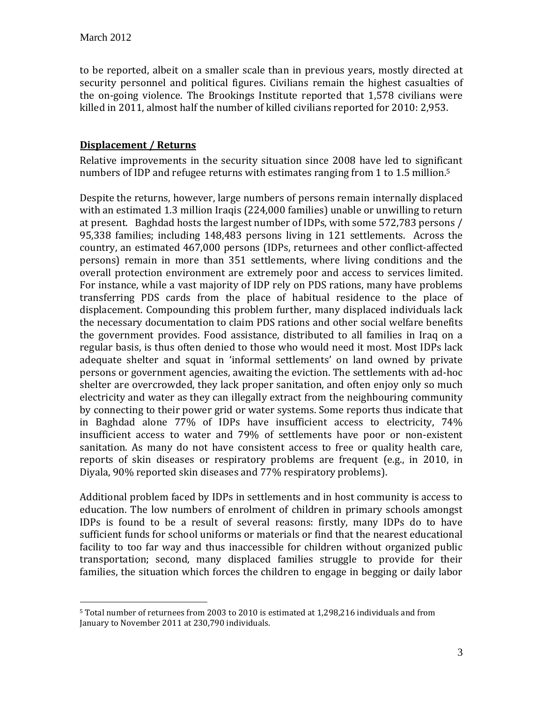$\overline{a}$ 

to be reported, albeit on a smaller scale than in previous years, mostly directed at security personnel and political figures. Civilians remain the highest casualties of the on-going violence. The Brookings Institute reported that 1,578 civilians were killed in 2011, almost half the number of killed civilians reported for 2010: 2,953.

#### **Displacement / Returns**

Relative improvements in the security situation since 2008 have led to significant numbers of IDP and refugee returns with estimates ranging from 1 to 1.5 million.<sup>5</sup>

Despite the returns, however, large numbers of persons remain internally displaced with an estimated 1.3 million Iraqis (224,000 families) unable or unwilling to return at present. Baghdad hosts the largest number of IDPs, with some 572,783 persons / 95,338 families; including 148,483 persons living in 121 settlements. Across the country, an estimated 467,000 persons (IDPs, returnees and other conflict-affected persons) remain in more than 351 settlements, where living conditions and the overall protection environment are extremely poor and access to services limited. For instance, while a vast majority of IDP rely on PDS rations, many have problems transferring PDS cards from the place of habitual residence to the place of displacement. Compounding this problem further, many displaced individuals lack the necessary documentation to claim PDS rations and other social welfare benefits the government provides. Food assistance, distributed to all families in Iraq on a regular basis, is thus often denied to those who would need it most. Most IDPs lack adequate shelter and squat in 'informal settlements' on land owned by private persons or government agencies, awaiting the eviction. The settlements with ad-hoc shelter are overcrowded, they lack proper sanitation, and often enjoy only so much electricity and water as they can illegally extract from the neighbouring community by connecting to their power grid or water systems. Some reports thus indicate that in Baghdad alone 77% of IDPs have insufficient access to electricity, 74% insufficient access to water and 79% of settlements have poor or non-existent sanitation. As many do not have consistent access to free or quality health care, reports of skin diseases or respiratory problems are frequent (e.g., in 2010, in Diyala, 90% reported skin diseases and 77% respiratory problems).

Additional problem faced by IDPs in settlements and in host community is access to education. The low numbers of enrolment of children in primary schools amongst IDPs is found to be a result of several reasons: firstly, many IDPs do to have sufficient funds for school uniforms or materials or find that the nearest educational facility to too far way and thus inaccessible for children without organized public transportation; second, many displaced families struggle to provide for their families, the situation which forces the children to engage in begging or daily labor

<sup>5</sup> Total number of returnees from 2003 to 2010 is estimated at 1,298,216 individuals and from January to November 2011 at 230,790 individuals.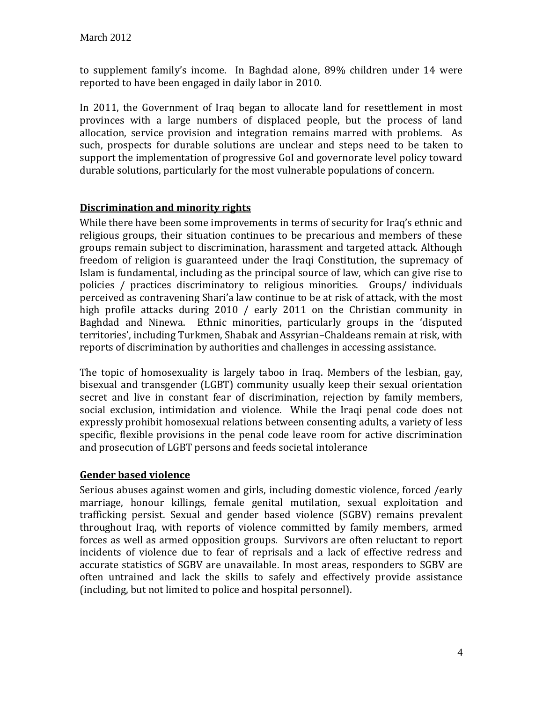to supplement family's income. In Baghdad alone, 89% children under 14 were reported to have been engaged in daily labor in 2010.

In 2011, the Government of Iraq began to allocate land for resettlement in most provinces with a large numbers of displaced people, but the process of land allocation, service provision and integration remains marred with problems. As such, prospects for durable solutions are unclear and steps need to be taken to support the implementation of progressive GoI and governorate level policy toward durable solutions, particularly for the most vulnerable populations of concern.

## **Discrimination and minority rights**

While there have been some improvements in terms of security for Iraq's ethnic and religious groups, their situation continues to be precarious and members of these groups remain subject to discrimination, harassment and targeted attack. Although freedom of religion is guaranteed under the Iraqi Constitution, the supremacy of Islam is fundamental, including as the principal source of law, which can give rise to policies / practices discriminatory to religious minorities. Groups/ individuals perceived as contravening Shari'a law continue to be at risk of attack, with the most high profile attacks during 2010 / early 2011 on the Christian community in Baghdad and Ninewa. Ethnic minorities, particularly groups in the 'disputed territories', including Turkmen, Shabak and Assyrian–Chaldeans remain at risk, with reports of discrimination by authorities and challenges in accessing assistance.

The topic of homosexuality is largely taboo in Iraq. Members of the lesbian, gay, bisexual and transgender (LGBT) community usually keep their sexual orientation secret and live in constant fear of discrimination, rejection by family members, social exclusion, intimidation and violence. While the Iraqi penal code does not expressly prohibit homosexual relations between consenting adults, a variety of less specific, flexible provisions in the penal code leave room for active discrimination and prosecution of LGBT persons and feeds societal intolerance

## **Gender based violence**

Serious abuses against women and girls, including domestic violence, forced /early marriage, honour killings, female genital mutilation, sexual exploitation and trafficking persist. Sexual and gender based violence (SGBV) remains prevalent throughout Iraq, with reports of violence committed by family members, armed forces as well as armed opposition groups. Survivors are often reluctant to report incidents of violence due to fear of reprisals and a lack of effective redress and accurate statistics of SGBV are unavailable. In most areas, responders to SGBV are often untrained and lack the skills to safely and effectively provide assistance (including, but not limited to police and hospital personnel).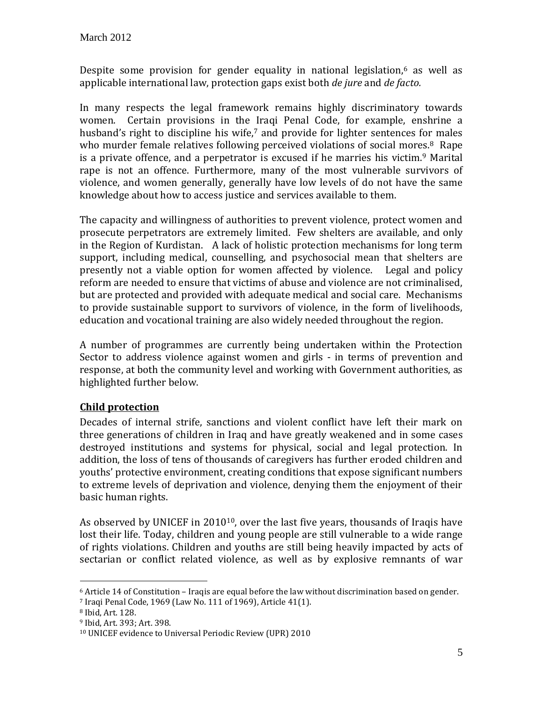Despite some provision for gender equality in national legislation, <sup>6</sup> as well as applicable international law, protection gaps exist both *de jure* and *de facto.* 

In many respects the legal framework remains highly discriminatory towards women. Certain provisions in the Iraqi Penal Code, for example, enshrine a husband's right to discipline his wife,<sup>7</sup> and provide for lighter sentences for males who murder female relatives following perceived violations of social mores.<sup>8</sup> Rape is a private offence, and a perpetrator is excused if he marries his victim.<sup>9</sup> Marital rape is not an offence. Furthermore, many of the most vulnerable survivors of violence, and women generally, generally have low levels of do not have the same knowledge about how to access justice and services available to them.

The capacity and willingness of authorities to prevent violence, protect women and prosecute perpetrators are extremely limited. Few shelters are available, and only in the Region of Kurdistan. A lack of holistic protection mechanisms for long term support, including medical, counselling, and psychosocial mean that shelters are presently not a viable option for women affected by violence. Legal and policy reform are needed to ensure that victims of abuse and violence are not criminalised, but are protected and provided with adequate medical and social care. Mechanisms to provide sustainable support to survivors of violence, in the form of livelihoods, education and vocational training are also widely needed throughout the region.

A number of programmes are currently being undertaken within the Protection Sector to address violence against women and girls - in terms of prevention and response, at both the community level and working with Government authorities, as highlighted further below.

## **Child protection**

Decades of internal strife, sanctions and violent conflict have left their mark on three generations of children in Iraq and have greatly weakened and in some cases destroyed institutions and systems for physical, social and legal protection. In addition, the loss of tens of thousands of caregivers has further eroded children and youths' protective environment, creating conditions that expose significant numbers to extreme levels of deprivation and violence, denying them the enjoyment of their basic human rights.

As observed by UNICEF in 2010<sup>10</sup>, over the last five years, thousands of Iraqis have lost their life. Today, children and young people are still vulnerable to a wide range of rights violations. Children and youths are still being heavily impacted by acts of sectarian or conflict related violence, as well as by explosive remnants of war

 $\overline{a}$ 

 $6$  Article 14 of Constitution – Iraqis are equal before the law without discrimination based on gender.

<sup>7</sup> Iraqi Penal Code, 1969 (Law No. 111 of 1969), Article 41(1).

<sup>8</sup> Ibid, Art. 128.

<sup>9</sup> Ibid, Art. 393; Art. 398.

<sup>10</sup> UNICEF evidence to Universal Periodic Review (UPR) 2010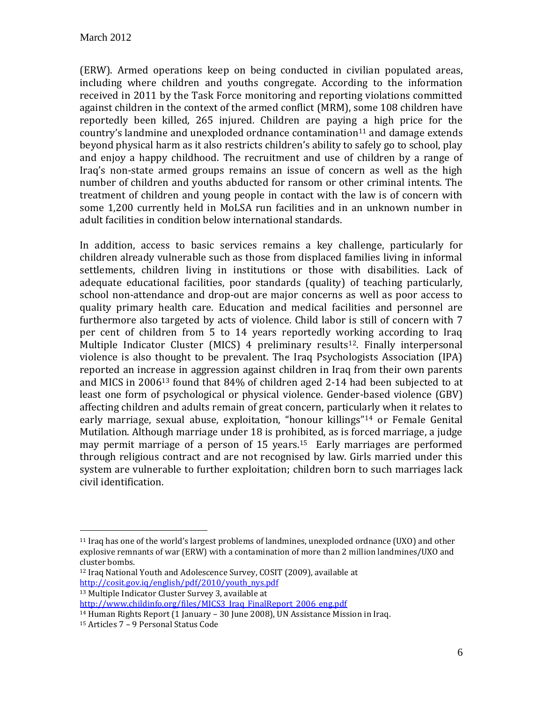(ERW). Armed operations keep on being conducted in civilian populated areas, including where children and youths congregate. According to the information received in 2011 by the Task Force monitoring and reporting violations committed against children in the context of the armed conflict (MRM), some 108 children have reportedly been killed, 265 injured. Children are paying a high price for the country's landmine and unexploded ordnance contamination $11$  and damage extends beyond physical harm as it also restricts children's ability to safely go to school, play and enjoy a happy childhood. The recruitment and use of children by a range of Iraq's non-state armed groups remains an issue of concern as well as the high number of children and youths abducted for ransom or other criminal intents. The treatment of children and young people in contact with the law is of concern with some 1,200 currently held in MoLSA run facilities and in an unknown number in adult facilities in condition below international standards.

In addition, access to basic services remains a key challenge, particularly for children already vulnerable such as those from displaced families living in informal settlements, children living in institutions or those with disabilities. Lack of adequate educational facilities, poor standards (quality) of teaching particularly, school non-attendance and drop-out are major concerns as well as poor access to quality primary health care. Education and medical facilities and personnel are furthermore also targeted by acts of violence. Child labor is still of concern with 7 per cent of children from 5 to 14 years reportedly working according to Iraq Multiple Indicator Cluster (MICS) 4 preliminary results<sup>12</sup>. Finally interpersonal violence is also thought to be prevalent. The Iraq Psychologists Association (IPA) reported an increase in aggression against children in Iraq from their own parents and MICS in 2006<sup>13</sup> found that 84% of children aged 2-14 had been subjected to at least one form of psychological or physical violence. Gender-based violence (GBV) affecting children and adults remain of great concern, particularly when it relates to early marriage, sexual abuse, exploitation, "honour killings"<sup>14</sup> or Female Genital Mutilation. Although marriage under 18 is prohibited, as is forced marriage, a judge may permit marriage of a person of 15 years.<sup>15</sup> Early marriages are performed through religious contract and are not recognised by law. Girls married under this system are vulnerable to further exploitation; children born to such marriages lack civil identification.

 $\overline{a}$ 

<sup>11</sup> Iraq has one of the world's largest problems of landmines, unexploded ordnance (UXO) and other explosive remnants of war (ERW) with a contamination of more than 2 million landmines/UXO and cluster bombs.

<sup>12</sup> Iraq National Youth and Adolescence Survey, COSIT (2009), available at [http://cosit.gov.iq/english/pdf/2010/youth\\_nys.pdf](http://cosit.gov.iq/english/pdf/2010/youth_nys.pdf)

<sup>13</sup> Multiple Indicator Cluster Survey 3, available at

[http://www.childinfo.org/files/MICS3\\_Iraq\\_FinalReport\\_2006\\_eng.pdf](http://www.childinfo.org/files/MICS3_Iraq_FinalReport_2006_eng.pdf)

<sup>14</sup> Human Rights Report (1 January – 30 June 2008), UN Assistance Mission in Iraq.

<sup>15</sup> Articles 7 – 9 Personal Status Code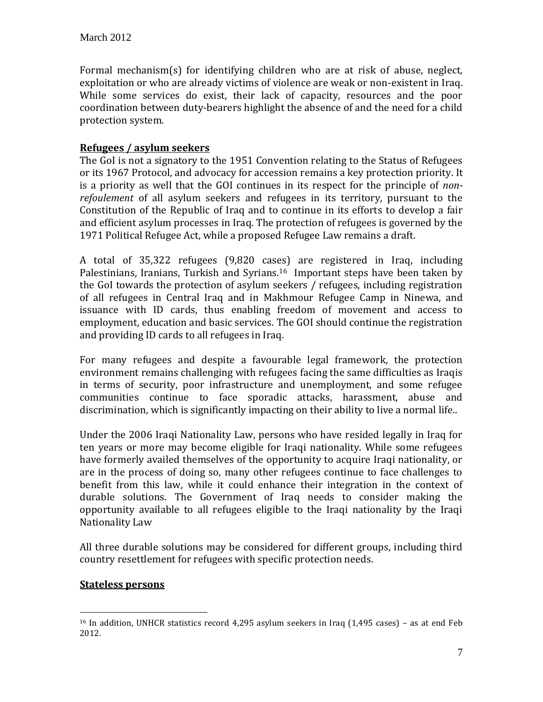Formal mechanism(s) for identifying children who are at risk of abuse, neglect, exploitation or who are already victims of violence are weak or non-existent in Iraq. While some services do exist, their lack of capacity, resources and the poor coordination between duty-bearers highlight the absence of and the need for a child protection system.

#### **Refugees / asylum seekers**

The GoI is not a signatory to the 1951 Convention relating to the Status of Refugees or its 1967 Protocol, and advocacy for accession remains a key protection priority. It is a priority as well that the GOI continues in its respect for the principle of *nonrefoulement* of all asylum seekers and refugees in its territory, pursuant to the Constitution of the Republic of Iraq and to continue in its efforts to develop a fair and efficient asylum processes in Iraq. The protection of refugees is governed by the 1971 Political Refugee Act, while a proposed Refugee Law remains a draft.

A total of 35,322 refugees (9,820 cases) are registered in Iraq, including Palestinians, Iranians, Turkish and Syrians.<sup>16</sup> Important steps have been taken by the GoI towards the protection of asylum seekers / refugees, including registration of all refugees in Central Iraq and in Makhmour Refugee Camp in Ninewa, and issuance with ID cards, thus enabling freedom of movement and access to employment, education and basic services. The GOI should continue the registration and providing ID cards to all refugees in Iraq.

For many refugees and despite a favourable legal framework, the protection environment remains challenging with refugees facing the same difficulties as Iraqis in terms of security, poor infrastructure and unemployment, and some refugee communities continue to face sporadic attacks, harassment, abuse and discrimination, which is significantly impacting on their ability to live a normal life..

Under the 2006 Iraqi Nationality Law, persons who have resided legally in Iraq for ten years or more may become eligible for Iraqi nationality. While some refugees have formerly availed themselves of the opportunity to acquire Iraqi nationality, or are in the process of doing so, many other refugees continue to face challenges to benefit from this law, while it could enhance their integration in the context of durable solutions. The Government of Iraq needs to consider making the opportunity available to all refugees eligible to the Iraqi nationality by the Iraqi Nationality Law

All three durable solutions may be considered for different groups, including third country resettlement for refugees with specific protection needs.

#### **Stateless persons**

 $\overline{a}$ 

<sup>&</sup>lt;sup>16</sup> In addition, UNHCR statistics record 4,295 asylum seekers in Iraq (1,495 cases) - as at end Feb 2012.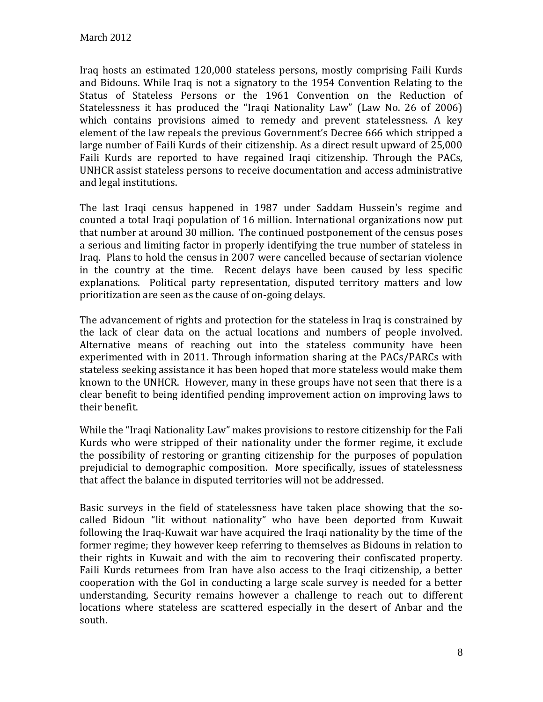Iraq hosts an estimated 120,000 stateless persons, mostly comprising Faili Kurds and Bidouns. While Iraq is not a signatory to the 1954 Convention Relating to the Status of Stateless Persons or the 1961 Convention on the Reduction of Statelessness it has produced the "Iraqi Nationality Law" (Law No. 26 of 2006) which contains provisions aimed to remedy and prevent statelessness. A key element of the law repeals the previous Government's Decree 666 which stripped a large number of Faili Kurds of their citizenship. As a direct result upward of 25,000 Faili Kurds are reported to have regained Iraqi citizenship. Through the PACs, UNHCR assist stateless persons to receive documentation and access administrative and legal institutions.

The last Iraqi census happened in 1987 under Saddam Hussein's regime and counted a total Iraqi population of 16 million. International organizations now put that number at around 30 million. The continued postponement of the census poses a serious and limiting factor in properly identifying the true number of stateless in Iraq. Plans to hold the census in 2007 were cancelled because of sectarian violence in the country at the time. Recent delays have been caused by less specific explanations. Political party representation, disputed territory matters and low prioritization are seen as the cause of on-going delays.

The advancement of rights and protection for the stateless in Iraq is constrained by the lack of clear data on the actual locations and numbers of people involved. Alternative means of reaching out into the stateless community have been experimented with in 2011. Through information sharing at the PACs/PARCs with stateless seeking assistance it has been hoped that more stateless would make them known to the UNHCR. However, many in these groups have not seen that there is a clear benefit to being identified pending improvement action on improving laws to their benefit.

While the "Iraqi Nationality Law" makes provisions to restore citizenship for the Fali Kurds who were stripped of their nationality under the former regime, it exclude the possibility of restoring or granting citizenship for the purposes of population prejudicial to demographic composition. More specifically, issues of statelessness that affect the balance in disputed territories will not be addressed.

Basic surveys in the field of statelessness have taken place showing that the socalled Bidoun "lit without nationality" who have been deported from Kuwait following the Iraq-Kuwait war have acquired the Iraqi nationality by the time of the former regime; they however keep referring to themselves as Bidouns in relation to their rights in Kuwait and with the aim to recovering their confiscated property. Faili Kurds returnees from Iran have also access to the Iraqi citizenship, a better cooperation with the GoI in conducting a large scale survey is needed for a better understanding, Security remains however a challenge to reach out to different locations where stateless are scattered especially in the desert of Anbar and the south.